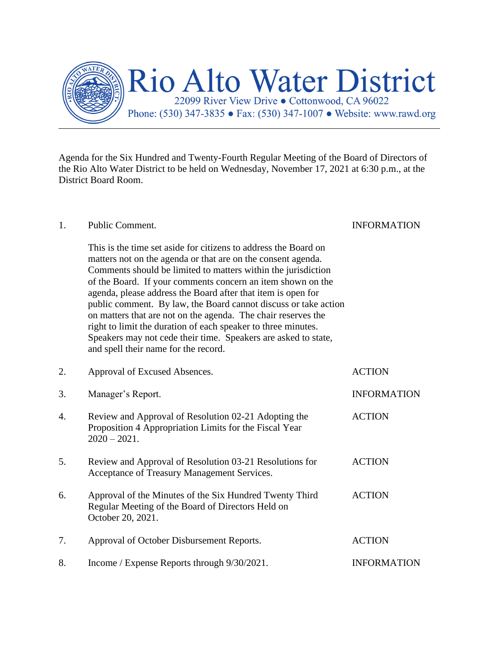

Agenda for the Six Hundred and Twenty-Fourth Regular Meeting of the Board of Directors of the Rio Alto Water District to be held on Wednesday, November 17, 2021 at 6:30 p.m., at the District Board Room.

| 1. | Public Comment.                                                                                                                                                                                                                                                                                                                                                                                                                                                                                                                                                                                                                                | <b>INFORMATION</b> |
|----|------------------------------------------------------------------------------------------------------------------------------------------------------------------------------------------------------------------------------------------------------------------------------------------------------------------------------------------------------------------------------------------------------------------------------------------------------------------------------------------------------------------------------------------------------------------------------------------------------------------------------------------------|--------------------|
|    | This is the time set aside for citizens to address the Board on<br>matters not on the agenda or that are on the consent agenda.<br>Comments should be limited to matters within the jurisdiction<br>of the Board. If your comments concern an item shown on the<br>agenda, please address the Board after that item is open for<br>public comment. By law, the Board cannot discuss or take action<br>on matters that are not on the agenda. The chair reserves the<br>right to limit the duration of each speaker to three minutes.<br>Speakers may not cede their time. Speakers are asked to state,<br>and spell their name for the record. |                    |
| 2. | Approval of Excused Absences.                                                                                                                                                                                                                                                                                                                                                                                                                                                                                                                                                                                                                  | <b>ACTION</b>      |
| 3. | Manager's Report.                                                                                                                                                                                                                                                                                                                                                                                                                                                                                                                                                                                                                              | <b>INFORMATION</b> |
| 4. | Review and Approval of Resolution 02-21 Adopting the<br>Proposition 4 Appropriation Limits for the Fiscal Year<br>$2020 - 2021.$                                                                                                                                                                                                                                                                                                                                                                                                                                                                                                               | <b>ACTION</b>      |
| 5. | Review and Approval of Resolution 03-21 Resolutions for<br>Acceptance of Treasury Management Services.                                                                                                                                                                                                                                                                                                                                                                                                                                                                                                                                         | <b>ACTION</b>      |
| 6. | Approval of the Minutes of the Six Hundred Twenty Third<br>Regular Meeting of the Board of Directors Held on<br>October 20, 2021.                                                                                                                                                                                                                                                                                                                                                                                                                                                                                                              | <b>ACTION</b>      |
| 7. | Approval of October Disbursement Reports.                                                                                                                                                                                                                                                                                                                                                                                                                                                                                                                                                                                                      | <b>ACTION</b>      |
| 8. | Income / Expense Reports through 9/30/2021.                                                                                                                                                                                                                                                                                                                                                                                                                                                                                                                                                                                                    | <b>INFORMATION</b> |